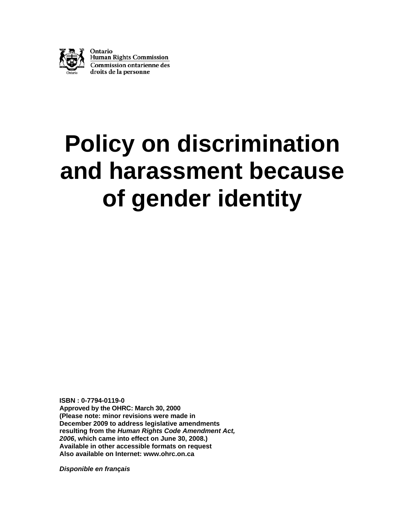

# **Policy on discrimination and harassment because of gender identity**

**ISBN : 0-7794-0119-0 Approved by the OHRC: March 30, 2000 (Please note: minor revisions were made in December 2009 to address legislative amendments resulting from the** *Human Rights Code Amendment Act, 2006***, which came into effect on June 30, 2008.) Available in other accessible formats on request Also available on Internet: [www.ohrc.on.ca](http://www.ohrc.on.ca/)** 

*Disponible en français*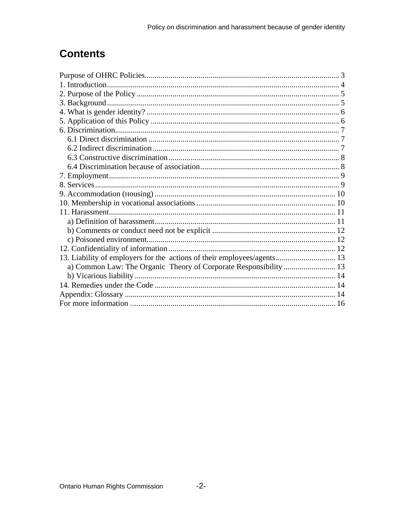# **Contents**

| a) Common Law: The Organic Theory of Corporate Responsibility  13 |  |
|-------------------------------------------------------------------|--|
|                                                                   |  |
|                                                                   |  |
|                                                                   |  |
|                                                                   |  |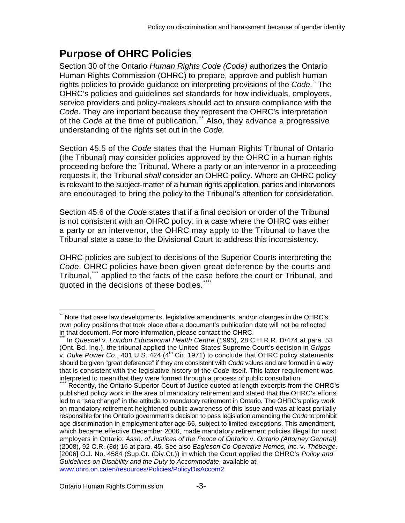### <span id="page-2-0"></span>**Purpose of OHRC Policies**

Section 30 of the Ontario *Human Rights Code (Code)* authorizes the Ontario Human Rights Commission (OHRC) to prepare, approve and publish human rights policies to provide guidance on interpreting provisions of the *Code*. [1](#page-16-0) The OHRC's policies and guidelines set standards for how individuals, employers, service providers and policy-makers should act to ensure compliance with the *Code*. They are important because they represent the OHRC's interpretation of the *Code* at the time of publication.<sup>[\\*\\*](#page-2-1)</sup> Also, they advance a progressive understanding of the rights set out in the *Code.* 

Section 45.5 of the *Code* states that the Human Rights Tribunal of Ontario (the Tribunal) may consider policies approved by the OHRC in a human rights proceeding before the Tribunal. Where a party or an intervenor in a proceeding requests it, the Tribunal *shall* consider an OHRC policy. Where an OHRC policy is relevant to the subject-matter of a human rights application, parties and intervenors are encouraged to bring the policy to the Tribunal's attention for consideration.

Section 45.6 of the *Code* states that if a final decision or order of the Tribunal is not consistent with an OHRC policy, in a case where the OHRC was either a party or an intervenor, the OHRC may apply to the Tribunal to have the Tribunal state a case to the Divisional Court to address this inconsistency.

OHRC policies are subject to decisions of the Superior Courts interpreting the *Code*. OHRC policies have been given great deference by the courts and Tribunal,<sup>[\\*\\*\\*](#page-2-2)</sup> applied to the facts of the case before the court or Tribunal, and quoted in the decisions of these bodies.<sup>\*\*</sup>

<span id="page-2-1"></span> $\overline{a}$ Note that case law developments, legislative amendments, and/or changes in the OHRC's own policy positions that took place after a document's publication date will not be reflected in that document. For more information, please contact the OHRC.

<span id="page-2-2"></span><sup>\*\*\*</sup> In *Quesnel* v. *London Educational Health Centre* (1995), 28 C.H.R.R. D/474 at para. 53 (Ont. Bd. Inq.), the tribunal applied the United States Supreme Court's decision in *Griggs*  v. Duke Power Co., 401 U.S. 424 (4<sup>th</sup> Cir. 1971) to conclude that OHRC policy statements should be given "great deference" if they are consistent with *Code* values and are formed in a way that is consistent with the legislative history of the *Code* itself. This latter requirement was interpreted to mean that they were formed through a process of public consultation.

<span id="page-2-3"></span>Recently, the Ontario Superior Court of Justice quoted at length excerpts from the OHRC's published policy work in the area of mandatory retirement and stated that the OHRC's efforts led to a "sea change" in the attitude to mandatory retirement in Ontario. The OHRC's policy work on mandatory retirement heightened public awareness of this issue and was at least partially responsible for the Ontario government's decision to pass legislation amending the *Code* to prohibit age discrimination in employment after age 65, subject to limited exceptions. This amendment, which became effective December 2006, made mandatory retirement policies illegal for most employers in Ontario: *Assn. of Justices of the Peace of Ontario* v. *Ontario (Attorney General)* (2008), 92 O.R. (3d) 16 at para. 45. See also *Eagleson Co-Operative Homes, Inc.* v. *Théberge,*  [2006] O.J. No. 4584 (Sup.Ct. (Div.Ct.)) in which the Court applied the OHRC's *Policy and Guidelines on Disability and the Duty to Accommodate*, available at: [www.ohrc.on.ca/en/resources/Policies/PolicyDisAccom2](http://www.ohrc.on.ca/en/resources/Policies/PolicyDisAccom2)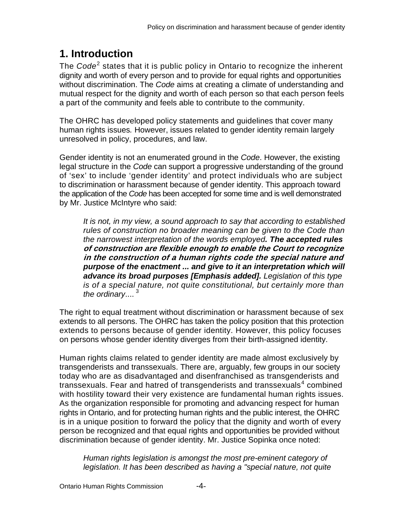# <span id="page-3-0"></span>**1. Introduction**

The *Code*<sup>[2](#page-16-1)</sup> states that it is public policy in Ontario to recognize the inherent dignity and worth of every person and to provide for equal rights and opportunities without discrimination. The *Code* aims at creating a climate of understanding and mutual respect for the dignity and worth of each person so that each person feels a part of the community and feels able to contribute to the community.

The OHRC has developed policy statements and guidelines that cover many human rights issues*.* However, issues related to gender identity remain largely unresolved in policy, procedures, and law.

Gender identity is not an enumerated ground in the *Code*. However, the existing legal structure in the *Code* can support a progressive understanding of the ground of 'sex' to include 'gender identity' and protect individuals who are subject to discrimination or harassment because of gender identity. This approach toward the application of the *Code* has been accepted for some time and is well demonstrated by Mr. Justice McIntyre who said:

*It is not, in my view, a sound approach to say that according to established rules of construction no broader meaning can be given to the Code than the narrowest interpretation of the words employed. The accepted rules*  **of construction are flexible enough to enable the Court to recognize in the construction of a human rights code the special nature and** *purpose of the enactment ... and give to it an interpretation which will advance its broad purposes [Emphasis added]. Legislation of this type is of a special nature, not quite constitutional, but certainly more than*  the ordinary....<sup>[3](#page-16-2)</sup>

The right to equal treatment without discrimination or harassment because of sex extends to all persons. The OHRC has taken the policy position that this protection extends to persons because of gender identity. However, this policy focuses on persons whose gender identity diverges from their birth-assigned identity.

Human rights claims related to gender identity are made almost exclusively by transgenderists and transsexuals. There are, arguably, few groups in our society today who are as disadvantaged and disenfranchised as transgenderists and transsexuals. Fear and hatred of transgenderists and transsexuals<sup>[4](#page-16-3)</sup> combined with hostility toward their very existence are fundamental human rights issues. As the organization responsible for promoting and advancing respect for human rights in Ontario, and for protecting human rights and the public interest, the OHRC is in a unique position to forward the policy that the dignity and worth of every person be recognized and that equal rights and opportunities be provided without discrimination because of gender identity. Mr. Justice Sopinka once noted:

*Human rights legislation is amongst the most pre-eminent category of legislation. It has been described as having a "special nature, not quite*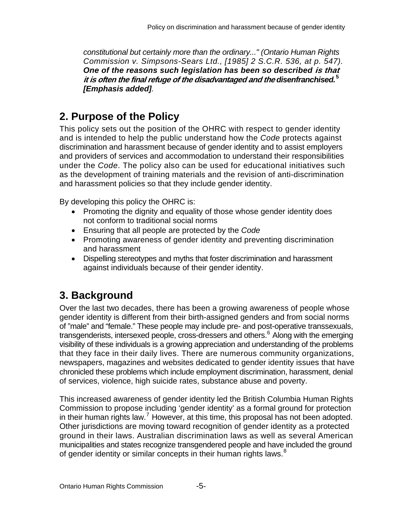*constitutional but certainly more than the ordinary..." (Ontario Human Rights Commission v. Simpsons-Sears Ltd., [1985] 2 S.C.R. 536, at p. 547). One of the reasons such legislation has been so described* **is that it is often the final refuge of the disadvantaged and the** *disenfranchised.***[5](#page-16-4)** *[Emphasis added].* 

# <span id="page-4-0"></span>**2. Purpose of the Policy**

This policy sets out the position of the OHRC with respect to gender identity and is intended to help the public understand how the *Code* protects against discrimination and harassment because of gender identity and to assist employers and providers of services and accommodation to understand their responsibilities under the *Code*. The policy also can be used for educational initiatives such as the development of training materials and the revision of anti-discrimination and harassment policies so that they include gender identity.

By developing this policy the OHRC is:

- Promoting the dignity and equality of those whose gender identity does not conform to traditional social norms
- Ensuring that all people are protected by the *Code*
- Promoting awareness of gender identity and preventing discrimination and harassment
- Dispelling stereotypes and myths that foster discrimination and harassment against individuals because of their gender identity.

# <span id="page-4-1"></span>**3. Background**

Over the last two decades, there has been a growing awareness of people whose gender identity is different from their birth-assigned genders and from social norms of "male" and "female." These people may include pre- and post-operative transsexuals, transgenderists, intersexed people, cross-dressers and others.<sup>[6](#page-16-5)</sup> Along with the emerging visibility of these individuals is a growing appreciation and understanding of the problems that they face in their daily lives. There are numerous community organizations, newspapers, magazines and websites dedicated to gender identity issues that have chronicled these problems which include employment discrimination, harassment, denial of services, violence, high suicide rates, substance abuse and poverty.

This increased awareness of gender identity led the British Columbia Human Rights Commission to propose including 'gender identity' as a formal ground for protection in their human rights law.<sup>[7](#page-16-6)</sup> However, at this time, this proposal has not been adopted. Other jurisdictions are moving toward recognition of gender identity as a protected ground in their laws. Australian discrimination laws as well as several American municipalities and states recognize transgendered people and have included the ground of gender identity or similar concepts in their human rights laws.<sup>[8](#page-16-7)</sup>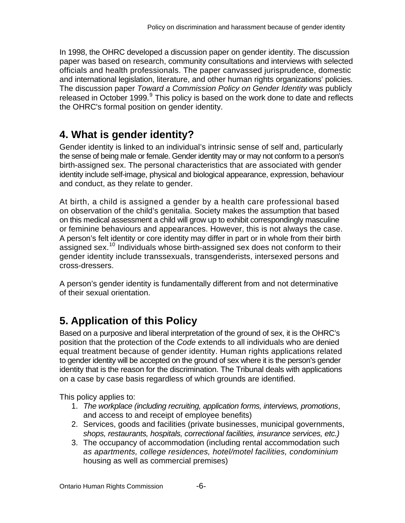In 1998, the OHRC developed a discussion paper on gender identity. The discussion paper was based on research, community consultations and interviews with selected officials and health professionals. The paper canvassed jurisprudence, domestic and international legislation, literature, and other human rights organizations' policies. The discussion paper *Toward a Commission Policy on Gender Identity* was publicly released in October 1[9](#page-16-8)99.<sup>9</sup> This policy is based on the work done to date and reflects the OHRC's formal position on gender identity.

# <span id="page-5-0"></span>**4. What is gender identity?**

Gender identity is linked to an individual's intrinsic sense of self and, particularly the sense of being male or female. Gender identity may or may not conform to a person's birth-assigned sex. The personal characteristics that are associated with gender identity include self-image, physical and biological appearance, expression, behaviour and conduct, as they relate to gender.

At birth, a child is assigned a gender by a health care professional based on observation of the child's genitalia. Society makes the assumption that based on this medical assessment a child will grow up to exhibit correspondingly masculine or feminine behaviours and appearances. However, this is not always the case. A person's felt identity or core identity may differ in part or in whole from their birth assigned sex.<sup>[10](#page-16-9)</sup> Individuals whose birth-assigned sex does not conform to their gender identity include transsexuals, transgenderists, intersexed persons and cross-dressers.

A person's gender identity is fundamentally different from and not determinative of their sexual orientation.

# <span id="page-5-1"></span>**5. Application of this Policy**

Based on a purposive and liberal interpretation of the ground of sex, it is the OHRC's position that the protection of the *Code* extends to all individuals who are denied equal treatment because of gender identity. Human rights applications related to gender identity will be accepted on the ground of sex where it is the person's gender identity that is the reason for the discrimination. The Tribunal deals with applications on a case by case basis regardless of which grounds are identified.

This policy applies to:

- 1. *The workplace (including recruiting, application forms, interviews, promotions*, and access to and receipt of employee benefits)
- 2. Services, goods and facilities (private businesses, municipal governments, *shops, restaurants, hospitals, correctional facilities, insurance services, etc.)*
- 3. The occupancy of accommodation (including rental accommodation such *as apartments, college residences, hotel/motel facilities, condominium* housing as well as commercial premises)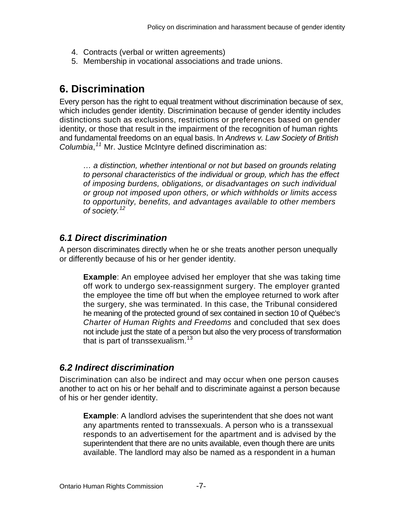- 4. Contracts (verbal or written agreements)
- 5. Membership in vocational associations and trade unions.

## <span id="page-6-0"></span>**6. Discrimination**

Every person has the right to equal treatment without discrimination because of sex, which includes gender identity. Discrimination because of gender identity includes distinctions such as exclusions, restrictions or preferences based on gender identity, or those that result in the impairment of the recognition of human rights and fundamental freedoms on an equal basis. In *Andrews v. Law Society of British Columbia*, *[11](#page-16-10)* Mr. Justice McIntyre defined discrimination as:

*… a distinction, whether intentional or not but based on grounds relating to personal characteristics of the individual or group, which has the effect of imposing burdens, obligations, or disadvantages on such individual or group not imposed upon others, or which withholds or limits access to opportunity, benefits, and advantages available to other members of society.[12](#page-16-11)* 

#### <span id="page-6-1"></span>*6.1 Direct discrimination*

A person discriminates directly when he or she treats another person unequally or differently because of his or her gender identity.

**Example**: An employee advised her employer that she was taking time off work to undergo sex-reassignment surgery. The employer granted the employee the time off but when the employee returned to work after the surgery, she was terminated. In this case, the Tribunal considered he meaning of the protected ground of sex contained in section 10 of Québec's *Charter of Human Rights and Freedoms* and concluded that sex does not include just the state of a person but also the very process of transformation that is part of transsexualism. $^{13}$  $^{13}$  $^{13}$ 

#### <span id="page-6-2"></span>*6.2 Indirect discrimination*

Discrimination can also be indirect and may occur when one person causes another to act on his or her behalf and to discriminate against a person because of his or her gender identity.

**Example**: A landlord advises the superintendent that she does not want any apartments rented to transsexuals. A person who is a transsexual responds to an advertisement for the apartment and is advised by the superintendent that there are no units available, even though there are units available. The landlord may also be named as a respondent in a human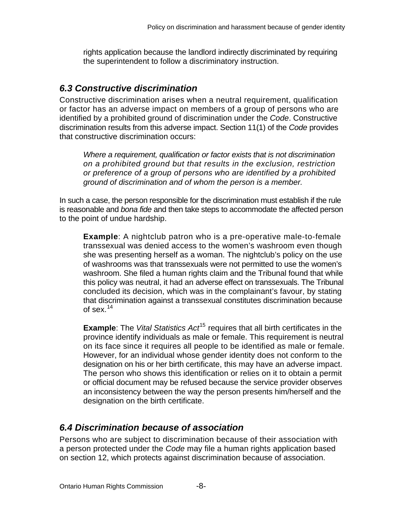rights application because the landlord indirectly discriminated by requiring the superintendent to follow a discriminatory instruction.

#### <span id="page-7-0"></span>*6.3 Constructive discrimination*

Constructive discrimination arises when a neutral requirement, qualification or factor has an adverse impact on members of a group of persons who are identified by a prohibited ground of discrimination under the *Code*. Constructive discrimination results from this adverse impact. Section 11(1) of the *Code* provides that constructive discrimination occurs:

*Where a requirement, qualification or factor exists that is not discrimination on a prohibited ground but that results in the exclusion, restriction or preference of a group of persons who are identified by a prohibited ground of discrimination and of whom the person is a member.* 

In such a case, the person responsible for the discrimination must establish if the rule is reasonable and *bona fide* and then take steps to accommodate the affected person to the point of undue hardship.

**Example**: A nightclub patron who is a pre-operative male-to-female transsexual was denied access to the women's washroom even though she was presenting herself as a woman. The nightclub's policy on the use of washrooms was that transsexuals were not permitted to use the women's washroom. She filed a human rights claim and the Tribunal found that while this policy was neutral, it had an adverse effect on transsexuals. The Tribunal concluded its decision, which was in the complainant's favour, by stating that discrimination against a transsexual constitutes discrimination because of sex. $14$ 

**Example**: The *Vital Statistics Act*<sup>[15](#page-16-14)</sup> requires that all birth certificates in the province identify individuals as male or female. This requirement is neutral on its face since it requires all people to be identified as male or female. However, for an individual whose gender identity does not conform to the designation on his or her birth certificate, this may have an adverse impact. The person who shows this identification or relies on it to obtain a permit or official document may be refused because the service provider observes an inconsistency between the way the person presents him/herself and the designation on the birth certificate.

#### <span id="page-7-1"></span>*6.4 Discrimination because of association*

Persons who are subject to discrimination because of their association with a person protected under the *Code* may file a human rights application based on section 12, which protects against discrimination because of association.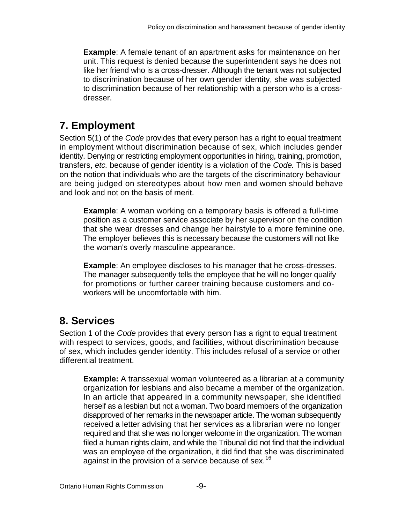**Example**: A female tenant of an apartment asks for maintenance on her unit. This request is denied because the superintendent says he does not like her friend who is a cross-dresser. Although the tenant was not subjected to discrimination because of her own gender identity, she was subjected to discrimination because of her relationship with a person who is a crossdresser.

# <span id="page-8-0"></span>**7. Employment**

Section 5(1) of the *Code* provides that every person has a right to equal treatment in employment without discrimination because of sex, which includes gender identity. Denying or restricting employment opportunities in hiring, training, promotion, transfers, *etc.* because of gender identity is a violation of the *Code.* This is based on the notion that individuals who are the targets of the discriminatory behaviour are being judged on stereotypes about how men and women should behave and look and not on the basis of merit.

**Example**: A woman working on a temporary basis is offered a full-time position as a customer service associate by her supervisor on the condition that she wear dresses and change her hairstyle to a more feminine one. The employer believes this is necessary because the customers will not like the woman's overly masculine appearance.

**Example**: An employee discloses to his manager that he cross-dresses. The manager subsequently tells the employee that he will no longer qualify for promotions or further career training because customers and coworkers will be uncomfortable with him.

# <span id="page-8-1"></span>**8. Services**

Section 1 of the *Code* provides that every person has a right to equal treatment with respect to services, goods, and facilities, without discrimination because of sex, which includes gender identity. This includes refusal of a service or other differential treatment.

**Example:** A transsexual woman volunteered as a librarian at a community organization for lesbians and also became a member of the organization. In an article that appeared in a community newspaper, she identified herself as a lesbian but not a woman. Two board members of the organization disapproved of her remarks in the newspaper article. The woman subsequently received a letter advising that her services as a librarian were no longer required and that she was no longer welcome in the organization. The woman filed a human rights claim, and while the Tribunal did not find that the individual was an employee of the organization, it did find that she was discriminated against in the provision of a service because of sex.<sup>[16](#page-16-15)</sup>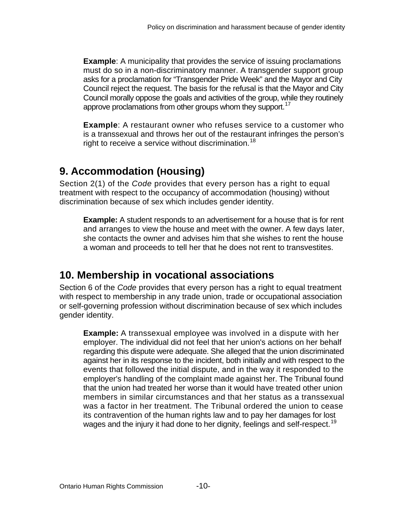**Example:** A municipality that provides the service of issuing proclamations must do so in a non-discriminatory manner. A transgender support group asks for a proclamation for "Transgender Pride Week" and the Mayor and City Council reject the request. The basis for the refusal is that the Mayor and City Council morally oppose the goals and activities of the group, while they routinely approve proclamations from other groups whom they support.<sup>[17](#page-16-16)</sup>

**Example**: A restaurant owner who refuses service to a customer who is a transsexual and throws her out of the restaurant infringes the person's right to receive a service without discrimination.<sup>[18](#page-16-17)</sup>

# <span id="page-9-0"></span>**9. Accommodation (Housing)**

Section 2(1) of the *Code* provides that every person has a right to equal treatment with respect to the occupancy of accommodation (housing) without discrimination because of sex which includes gender identity.

**Example:** A student responds to an advertisement for a house that is for rent and arranges to view the house and meet with the owner. A few days later, she contacts the owner and advises him that she wishes to rent the house a woman and proceeds to tell her that he does not rent to transvestites.

# <span id="page-9-1"></span>**10. Membership in vocational associations**

Section 6 of the *Code* provides that every person has a right to equal treatment with respect to membership in any trade union, trade or occupational association or self-governing profession without discrimination because of sex which includes gender identity.

**Example:** A transsexual employee was involved in a dispute with her employer. The individual did not feel that her union's actions on her behalf regarding this dispute were adequate. She alleged that the union discriminated against her in its response to the incident, both initially and with respect to the events that followed the initial dispute, and in the way it responded to the employer's handling of the complaint made against her. The Tribunal found that the union had treated her worse than it would have treated other union members in similar circumstances and that her status as a transsexual was a factor in her treatment. The Tribunal ordered the union to cease its contravention of the human rights law and to pay her damages for lost wages and the injury it had done to her dignity, feelings and self-respect.<sup>[19](#page-16-18)</sup>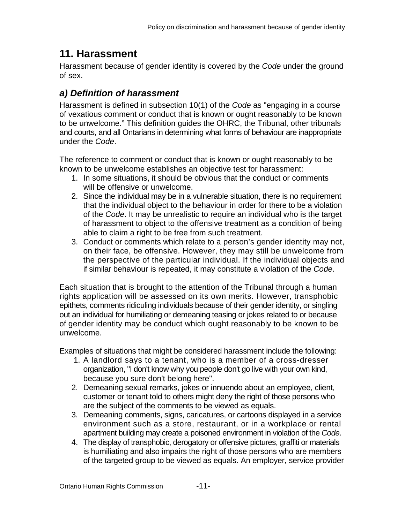#### <span id="page-10-0"></span>**11. Harassment**

Harassment because of gender identity is covered by the *Code* under the ground of sex.

#### <span id="page-10-1"></span>*a) Definition of harassment*

Harassment is defined in subsection 10(1) of the *Code* as "engaging in a course of vexatious comment or conduct that is known or ought reasonably to be known to be unwelcome." This definition guides the OHRC, the Tribunal, other tribunals and courts, and all Ontarians in determining what forms of behaviour are inappropriate under the *Code*.

The reference to comment or conduct that is known or ought reasonably to be known to be unwelcome establishes an objective test for harassment:

- 1. In some situations, it should be obvious that the conduct or comments will be offensive or unwelcome.
- 2. Since the individual may be in a vulnerable situation, there is no requirement that the individual object to the behaviour in order for there to be a violation of the *Code*. It may be unrealistic to require an individual who is the target of harassment to object to the offensive treatment as a condition of being able to claim a right to be free from such treatment.
- 3. Conduct or comments which relate to a person's gender identity may not, on their face, be offensive. However, they may still be unwelcome from the perspective of the particular individual. If the individual objects and if similar behaviour is repeated, it may constitute a violation of the *Code*.

Each situation that is brought to the attention of the Tribunal through a human rights application will be assessed on its own merits. However, transphobic epithets, comments ridiculing individuals because of their gender identity, or singling out an individual for humiliating or demeaning teasing or jokes related to or because of gender identity may be conduct which ought reasonably to be known to be unwelcome.

Examples of situations that might be considered harassment include the following:

- 1. A landlord says to a tenant, who is a member of a cross-dresser organization, "I don't know why you people don't go live with your own kind, because you sure don't belong here".
- 2. Demeaning sexual remarks, jokes or innuendo about an employee, client, customer or tenant told to others might deny the right of those persons who are the subject of the comments to be viewed as equals.
- 3. Demeaning comments, signs, caricatures, or cartoons displayed in a service environment such as a store, restaurant, or in a workplace or rental apartment building may create a poisoned environment in violation of the *Code*.
- 4. The display of transphobic, derogatory or offensive pictures, graffiti or materials is humiliating and also impairs the right of those persons who are members of the targeted group to be viewed as equals. An employer, service provider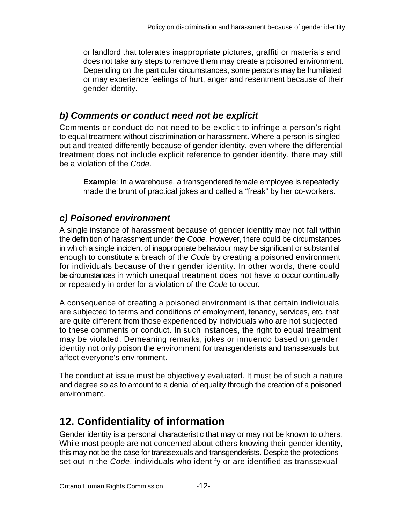or landlord that tolerates inappropriate pictures, graffiti or materials and does not take any steps to remove them may create a poisoned environment. Depending on the particular circumstances, some persons may be humiliated or may experience feelings of hurt, anger and resentment because of their gender identity.

#### <span id="page-11-0"></span>*b) Comments or conduct need not be explicit*

Comments or conduct do not need to be explicit to infringe a person's right to equal treatment without discrimination or harassment. Where a person is singled out and treated differently because of gender identity, even where the differential treatment does not include explicit reference to gender identity, there may still be a violation of the *Code*.

**Example**: In a warehouse, a transgendered female employee is repeatedly made the brunt of practical jokes and called a "freak" by her co-workers.

#### <span id="page-11-1"></span>*c) Poisoned environment*

A single instance of harassment because of gender identity may not fall within the definition of harassment under the *Code.* However, there could be circumstances in which a single incident of inappropriate behaviour may be significant or substantial enough to constitute a breach of the *Code* by creating a poisoned environment for individuals because of their gender identity. In other words, there could be circumstances in which unequal treatment does not have to occur continually or repeatedly in order for a violation of the *Code* to occur*.*

A consequence of creating a poisoned environment is that certain individuals are subjected to terms and conditions of employment, tenancy, services, etc. that are quite different from those experienced by individuals who are not subjected to these comments or conduct. In such instances, the right to equal treatment may be violated. Demeaning remarks, jokes or innuendo based on gender identity not only poison the environment for transgenderists and transsexuals but affect everyone's environment.

The conduct at issue must be objectively evaluated. It must be of such a nature and degree so as to amount to a denial of equality through the creation of a poisoned environment.

# <span id="page-11-2"></span>**12. Confidentiality of information**

Gender identity is a personal characteristic that may or may not be known to others. While most people are not concerned about others knowing their gender identity, this may not be the case for transsexuals and transgenderists. Despite the protections set out in the *Code*, individuals who identify or are identified as transsexual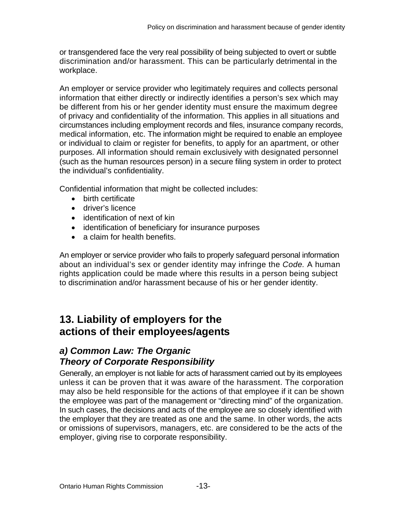or transgendered face the very real possibility of being subjected to overt or subtle discrimination and/or harassment. This can be particularly detrimental in the workplace.

An employer or service provider who legitimately requires and collects personal information that either directly or indirectly identifies a person's sex which may be different from his or her gender identity must ensure the maximum degree of privacy and confidentiality of the information. This applies in all situations and circumstances including employment records and files, insurance company records, medical information, etc. The information might be required to enable an employee or individual to claim or register for benefits, to apply for an apartment, or other purposes. All information should remain exclusively with designated personnel (such as the human resources person) in a secure filing system in order to protect the individual's confidentiality.

Confidential information that might be collected includes:

- birth certificate
- driver's licence
- identification of next of kin
- identification of beneficiary for insurance purposes
- a claim for health benefits.

An employer or service provider who fails to properly safeguard personal information about an individual's sex or gender identity may infringe the *Code.* A human rights application could be made where this results in a person being subject to discrimination and/or harassment because of his or her gender identity.

#### <span id="page-12-0"></span>**13. Liability of employers for the actions of their employees/agents**

#### <span id="page-12-1"></span>*a) Common Law: The Organic Theory of Corporate Responsibility*

Generally, an employer is not liable for acts of harassment carried out by its employees unless it can be proven that it was aware of the harassment. The corporation may also be held responsible for the actions of that employee if it can be shown the employee was part of the management or "directing mind" of the organization. In such cases, the decisions and acts of the employee are so closely identified with the employer that they are treated as one and the same. In other words, the acts or omissions of supervisors, managers, etc. are considered to be the acts of the employer, giving rise to corporate responsibility.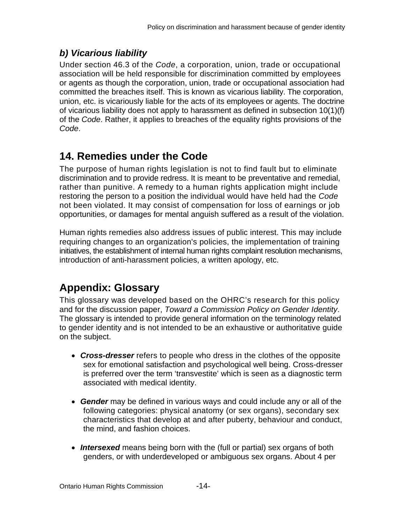#### <span id="page-13-0"></span>*b) Vicarious liability*

Under section 46.3 of the *Code*, a corporation, union, trade or occupational association will be held responsible for discrimination committed by employees or agents as though the corporation, union, trade or occupational association had committed the breaches itself. This is known as vicarious liability. The corporation, union, etc. is vicariously liable for the acts of its employees or agents. The doctrine of vicarious liability does not apply to harassment as defined in subsection 10(1)(f) of the *Code*. Rather, it applies to breaches of the equality rights provisions of the *Code*.

## <span id="page-13-1"></span>**14. Remedies under the Code**

The purpose of human rights legislation is not to find fault but to eliminate discrimination and to provide redress. It is meant to be preventative and remedial, rather than punitive. A remedy to a human rights application might include restoring the person to a position the individual would have held had the *Code* not been violated. It may consist of compensation for loss of earnings or job opportunities, or damages for mental anguish suffered as a result of the violation.

Human rights remedies also address issues of public interest. This may include requiring changes to an organization's policies, the implementation of training initiatives, the establishment of internal human rights complaint resolution mechanisms, introduction of anti-harassment policies, a written apology, etc.

# <span id="page-13-2"></span>**Appendix: Glossary**

This glossary was developed based on the OHRC's research for this policy and for the discussion paper, *Toward a Commission Policy on Gender Identity*. The glossary is intended to provide general information on the terminology related to gender identity and is not intended to be an exhaustive or authoritative guide on the subject.

- *Cross-dresser* refers to people who dress in the clothes of the opposite sex for emotional satisfaction and psychological well being. Cross-dresser is preferred over the term 'transvestite' which is seen as a diagnostic term associated with medical identity.
- *Gender* may be defined in various ways and could include any or all of the following categories: physical anatomy (or sex organs), secondary sex characteristics that develop at and after puberty, behaviour and conduct, the mind, and fashion choices.
- *Intersexed* means being born with the (full or partial) sex organs of both genders, or with underdeveloped or ambiguous sex organs. About 4 per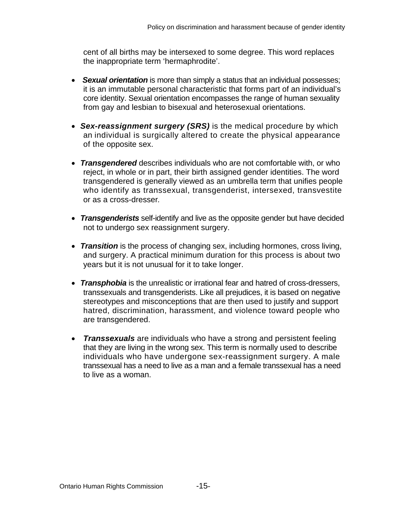cent of all births may be intersexed to some degree. This word replaces the inappropriate term 'hermaphrodite'.

- *Sexual orientation* is more than simply a status that an individual possesses; it is an immutable personal characteristic that forms part of an individual's core identity. Sexual orientation encompasses the range of human sexuality from gay and lesbian to bisexual and heterosexual orientations.
- *Sex-reassignment surgery (SRS)* is the medical procedure by which an individual is surgically altered to create the physical appearance of the opposite sex.
- *Transgendered* describes individuals who are not comfortable with, or who reject, in whole or in part, their birth assigned gender identities. The word transgendered is generally viewed as an umbrella term that unifies people who identify as transsexual, transgenderist, intersexed, transvestite or as a cross-dresser*.*
- *Transgenderists* self-identify and live as the opposite gender but have decided not to undergo sex reassignment surgery.
- *Transition* is the process of changing sex, including hormones, cross living, and surgery. A practical minimum duration for this process is about two years but it is not unusual for it to take longer.
- *Transphobia* is the unrealistic or irrational fear and hatred of cross-dressers, transsexuals and transgenderists. Like all prejudices, it is based on negative stereotypes and misconceptions that are then used to justify and support hatred, discrimination, harassment, and violence toward people who are transgendered.
- *Transsexuals* are individuals who have a strong and persistent feeling that they are living in the wrong sex. This term is normally used to describe individuals who have undergone sex-reassignment surgery. A male transsexual has a need to live as a man and a female transsexual has a need to live as a woman.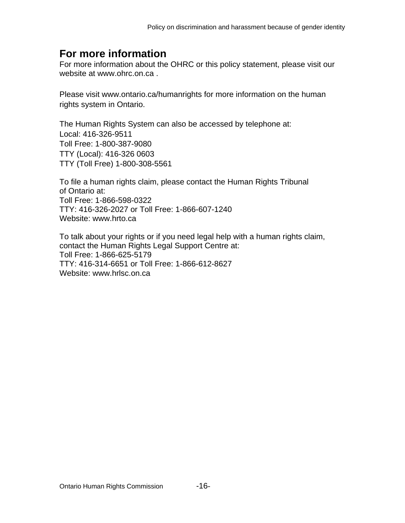#### <span id="page-15-0"></span>**For more information**

For more information about the OHRC or this policy statement, please visit our website at [www.ohrc.on.ca](http://www.ohrc.on.ca/) .

Please visit [www.ontario.ca/humanrights](http://www.attorneygeneral.jus.gov.on.ca/english/ohrc/Default.asp) for more information on the human rights system in Ontario.

The Human Rights System can also be accessed by telephone at: Local: 416-326-9511 Toll Free: 1-800-387-9080 TTY (Local): 416-326 0603 TTY (Toll Free) 1-800-308-5561

To file a human rights claim, please contact the Human Rights Tribunal of Ontario at: Toll Free: 1-866-598-0322 TTY: 416-326-2027 or Toll Free: 1-866-607-1240 Website: www.hrto.ca

To talk about your rights or if you need legal help with a human rights claim, contact the Human Rights Legal Support Centre at: Toll Free: 1-866-625-5179 TTY: 416-314-6651 or Toll Free: 1-866-612-8627 Website: www.hrlsc.on.ca